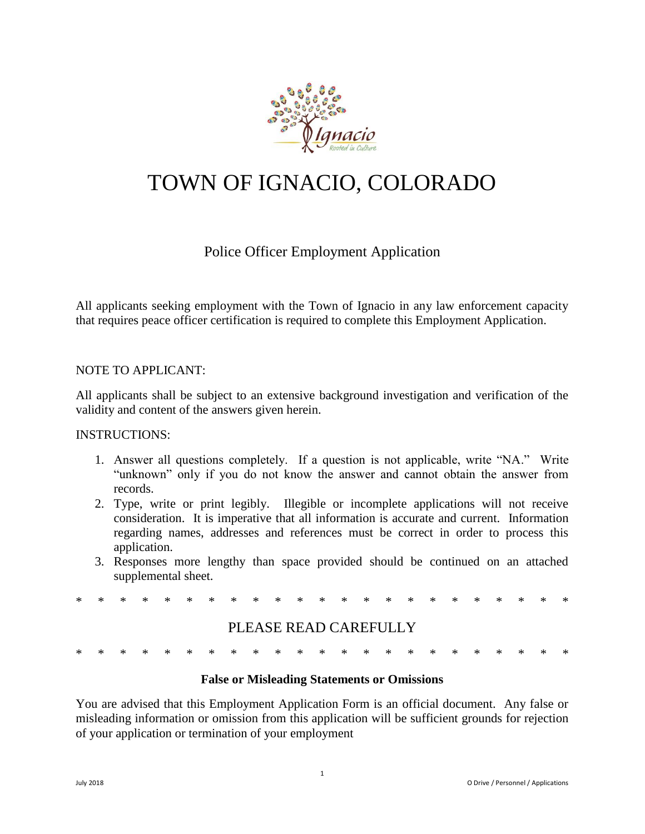

# TOWN OF IGNACIO, COLORADO

# Police Officer Employment Application

All applicants seeking employment with the Town of Ignacio in any law enforcement capacity that requires peace officer certification is required to complete this Employment Application.

#### NOTE TO APPLICANT:

All applicants shall be subject to an extensive background investigation and verification of the validity and content of the answers given herein.

#### INSTRUCTIONS:

- 1. Answer all questions completely. If a question is not applicable, write "NA." Write "unknown" only if you do not know the answer and cannot obtain the answer from records.
- 2. Type, write or print legibly. Illegible or incomplete applications will not receive consideration. It is imperative that all information is accurate and current. Information regarding names, addresses and references must be correct in order to process this application.
- 3. Responses more lengthy than space provided should be continued on an attached supplemental sheet.

\* \* \* \* \* \* \* \* \* \* \* \* \* \* \* \* \* \* \* \* \* \* \*

# PLEASE READ CAREFULLY

#### **False or Misleading Statements or Omissions**

You are advised that this Employment Application Form is an official document. Any false or misleading information or omission from this application will be sufficient grounds for rejection of your application or termination of your employment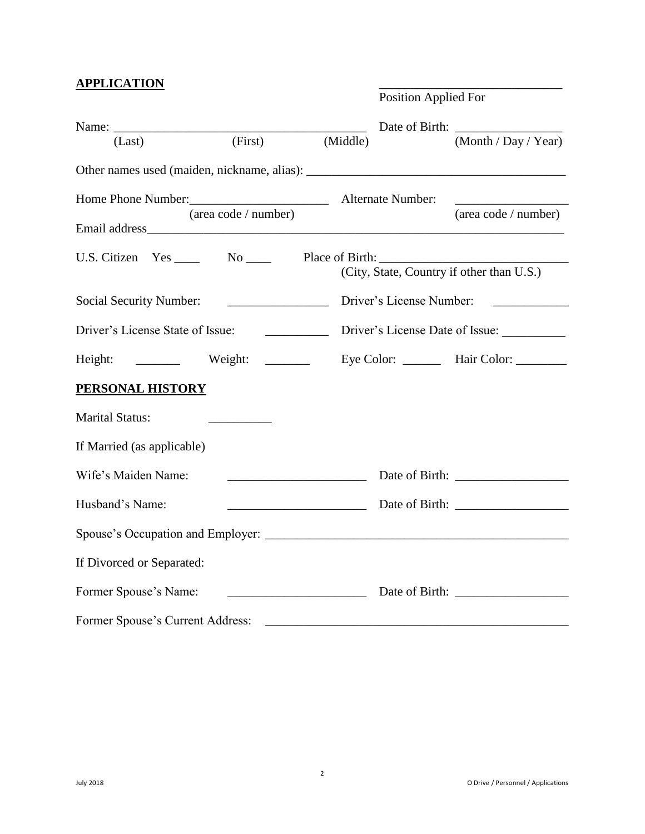## **APPLICATION \_\_\_\_\_\_\_\_\_\_\_\_\_\_\_\_\_\_\_\_\_\_\_\_\_\_\_\_\_**

|                                                         |                                                                                                                                                                                                                                                                                                                                                                                                              |                                          | <b>Position Applied For</b>               |
|---------------------------------------------------------|--------------------------------------------------------------------------------------------------------------------------------------------------------------------------------------------------------------------------------------------------------------------------------------------------------------------------------------------------------------------------------------------------------------|------------------------------------------|-------------------------------------------|
|                                                         |                                                                                                                                                                                                                                                                                                                                                                                                              |                                          |                                           |
| (Last)                                                  | (First)                                                                                                                                                                                                                                                                                                                                                                                                      | (Middle)                                 | (Month / Day / Year)                      |
|                                                         |                                                                                                                                                                                                                                                                                                                                                                                                              |                                          |                                           |
|                                                         |                                                                                                                                                                                                                                                                                                                                                                                                              |                                          |                                           |
|                                                         | (area code / number)                                                                                                                                                                                                                                                                                                                                                                                         |                                          | (area code / number)                      |
| U.S. Citizen Yes _____ No _____ Place of Birth: _______ |                                                                                                                                                                                                                                                                                                                                                                                                              |                                          |                                           |
|                                                         |                                                                                                                                                                                                                                                                                                                                                                                                              |                                          | (City, State, Country if other than U.S.) |
| <b>Social Security Number:</b>                          |                                                                                                                                                                                                                                                                                                                                                                                                              | Driver's License Number:                 |                                           |
| Driver's License State of Issue:                        |                                                                                                                                                                                                                                                                                                                                                                                                              |                                          | Driver's License Date of Issue:           |
| Height:                                                 | Weight: $\frac{1}{\sqrt{1-\frac{1}{2}}\sqrt{1-\frac{1}{2}}\sqrt{1-\frac{1}{2}}\sqrt{1-\frac{1}{2}}\sqrt{1-\frac{1}{2}}\sqrt{1-\frac{1}{2}}\sqrt{1-\frac{1}{2}}\sqrt{1-\frac{1}{2}}\sqrt{1-\frac{1}{2}}\sqrt{1-\frac{1}{2}}\sqrt{1-\frac{1}{2}}\sqrt{1-\frac{1}{2}}\sqrt{1-\frac{1}{2}}\sqrt{1-\frac{1}{2}}\sqrt{1-\frac{1}{2}}\sqrt{1-\frac{1}{2}}\sqrt{1-\frac{1}{2}}\sqrt{1-\frac{1}{2}}\sqrt{1-\frac{1}{$ |                                          | Eye Color: _________ Hair Color: ________ |
| <b>PERSONAL HISTORY</b>                                 |                                                                                                                                                                                                                                                                                                                                                                                                              |                                          |                                           |
| <b>Marital Status:</b>                                  |                                                                                                                                                                                                                                                                                                                                                                                                              |                                          |                                           |
| If Married (as applicable)                              |                                                                                                                                                                                                                                                                                                                                                                                                              |                                          |                                           |
| Wife's Maiden Name:                                     | <u> 1990 - Johann John Stein, markin sanadi shirta mashrida na shekara ta 1991 - An tsara tsara tsara tsara tsar</u>                                                                                                                                                                                                                                                                                         |                                          |                                           |
| Husband's Name:                                         |                                                                                                                                                                                                                                                                                                                                                                                                              |                                          |                                           |
|                                                         |                                                                                                                                                                                                                                                                                                                                                                                                              |                                          |                                           |
| If Divorced or Separated:                               |                                                                                                                                                                                                                                                                                                                                                                                                              |                                          |                                           |
| Former Spouse's Name:                                   |                                                                                                                                                                                                                                                                                                                                                                                                              | <u> 1980 - Johann Barbara, martxa al</u> |                                           |
| Former Spouse's Current Address:                        |                                                                                                                                                                                                                                                                                                                                                                                                              |                                          |                                           |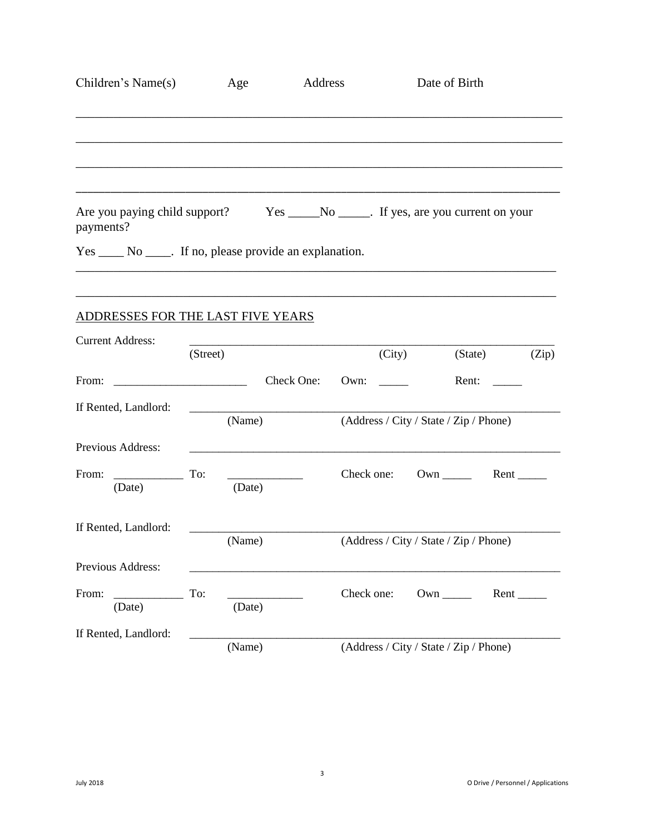| Children's Name(s)                                                                            | Age           | Address    |            | Date of Birth                          |                         |
|-----------------------------------------------------------------------------------------------|---------------|------------|------------|----------------------------------------|-------------------------|
|                                                                                               |               |            |            |                                        |                         |
| Are you paying child support? Yes _____No _____. If yes, are you current on your<br>payments? |               |            |            |                                        |                         |
|                                                                                               |               |            |            |                                        |                         |
| <b>ADDRESSES FOR THE LAST FIVE YEARS</b>                                                      |               |            |            |                                        |                         |
| <b>Current Address:</b>                                                                       | (Street)      |            | (City)     |                                        | (State)<br>(Zip)        |
| From:                                                                                         |               | Check One: | Own:       | Rent: $\qquad \qquad$                  |                         |
| If Rented, Landlord:                                                                          | (Name)        |            |            | (Address / City / State / Zip / Phone) |                         |
| Previous Address:                                                                             |               |            |            |                                        |                         |
| From:<br>$\overline{\phantom{a}}$<br>(Date)                                                   | To:<br>(Date) |            |            | Check one: Own                         | $Rent$ <sub>_____</sub> |
| If Rented, Landlord:                                                                          | (Name)        |            |            | (Address / City / State / Zip / Phone) |                         |
| Previous Address:                                                                             |               |            |            |                                        |                         |
| From:<br>(Date)                                                                               | To:<br>(Date) |            | Check one: | $Own$ <sub>_____</sub>                 |                         |
| If Rented, Landlord:                                                                          | (Name)        |            |            | (Address / City / State / Zip / Phone) |                         |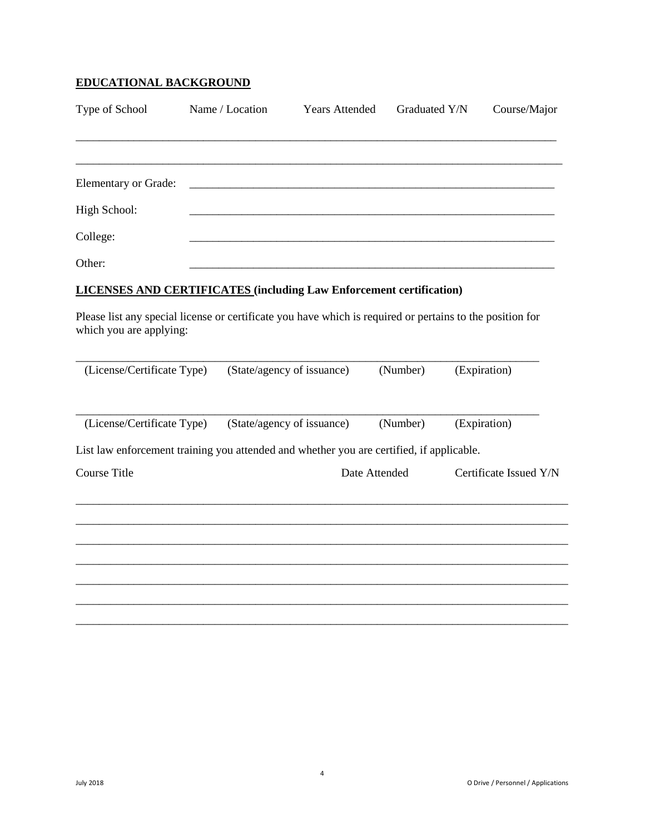# **EDUCATIONAL BACKGROUND**

| Type of School                                                                                                                       | Name / Location | <b>Years Attended</b>      | Graduated Y/N |              | Course/Major           |
|--------------------------------------------------------------------------------------------------------------------------------------|-----------------|----------------------------|---------------|--------------|------------------------|
|                                                                                                                                      |                 |                            |               |              |                        |
| Elementary or Grade:                                                                                                                 |                 |                            |               |              |                        |
| High School:                                                                                                                         |                 |                            |               |              |                        |
| College:                                                                                                                             |                 |                            |               |              |                        |
| Other:                                                                                                                               |                 |                            |               |              |                        |
| <b>LICENSES AND CERTIFICATES (including Law Enforcement certification)</b>                                                           |                 |                            |               |              |                        |
| Please list any special license or certificate you have which is required or pertains to the position for<br>which you are applying: |                 |                            |               |              |                        |
| (License/Certificate Type)                                                                                                           |                 | (State/agency of issuance) | (Number)      | (Expiration) |                        |
| (License/Certificate Type)                                                                                                           |                 | (State/agency of issuance) | (Number)      | (Expiration) |                        |
| List law enforcement training you attended and whether you are certified, if applicable.                                             |                 |                            |               |              |                        |
| <b>Course Title</b>                                                                                                                  |                 |                            | Date Attended |              | Certificate Issued Y/N |
|                                                                                                                                      |                 |                            |               |              |                        |
|                                                                                                                                      |                 |                            |               |              |                        |
|                                                                                                                                      |                 |                            |               |              |                        |
|                                                                                                                                      |                 |                            |               |              |                        |
|                                                                                                                                      |                 |                            |               |              |                        |
|                                                                                                                                      |                 |                            |               |              |                        |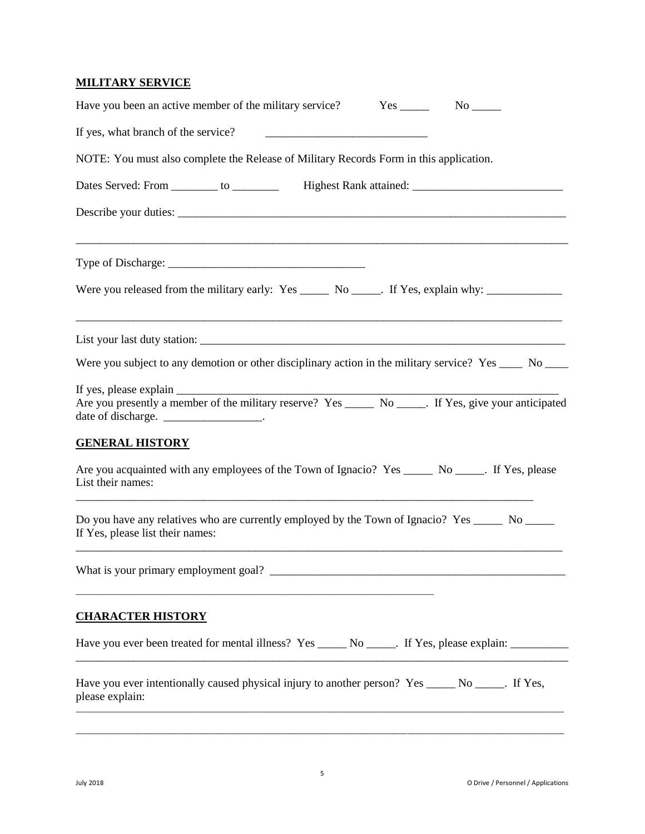## **MILITARY SERVICE**

| Have you been an active member of the military service?                                                                                              |
|------------------------------------------------------------------------------------------------------------------------------------------------------|
| If yes, what branch of the service?                                                                                                                  |
| NOTE: You must also complete the Release of Military Records Form in this application.                                                               |
| Dates Served: From _________ to ___________ Highest Rank attained: _________________________________                                                 |
|                                                                                                                                                      |
|                                                                                                                                                      |
| Were you released from the military early: Yes ______ No _____. If Yes, explain why: ______________                                                  |
|                                                                                                                                                      |
| Were you subject to any demotion or other disciplinary action in the military service? Yes _____ No ____                                             |
| Are you presently a member of the military reserve? Yes _______ No ______. If Yes, give your anticipated<br>date of discharge. ____________________. |
| <b>GENERAL HISTORY</b>                                                                                                                               |
| Are you acquainted with any employees of the Town of Ignacio? Yes ________ No ______. If Yes, please<br>List their names:                            |
| Do you have any relatives who are currently employed by the Town of Ignacio? Yes _______ No ______<br>If Yes, please list their names:               |
| What is your primary employment goal?                                                                                                                |
| <b>CHARACTER HISTORY</b>                                                                                                                             |
| Have you ever been treated for mental illness? Yes ______ No ______. If Yes, please explain: _______                                                 |
| Have you ever intentionally caused physical injury to another person? Yes _____ No _____. If Yes,<br>please explain:                                 |

\_\_\_\_\_\_\_\_\_\_\_\_\_\_\_\_\_\_\_\_\_\_\_\_\_\_\_\_\_\_\_\_\_\_\_\_\_\_\_\_\_\_\_\_\_\_\_\_\_\_\_\_\_\_\_\_\_\_\_\_\_\_\_\_\_\_\_\_\_\_\_\_\_\_\_\_\_\_\_\_\_\_\_\_\_\_\_\_\_\_\_\_\_\_\_\_\_\_\_\_\_\_\_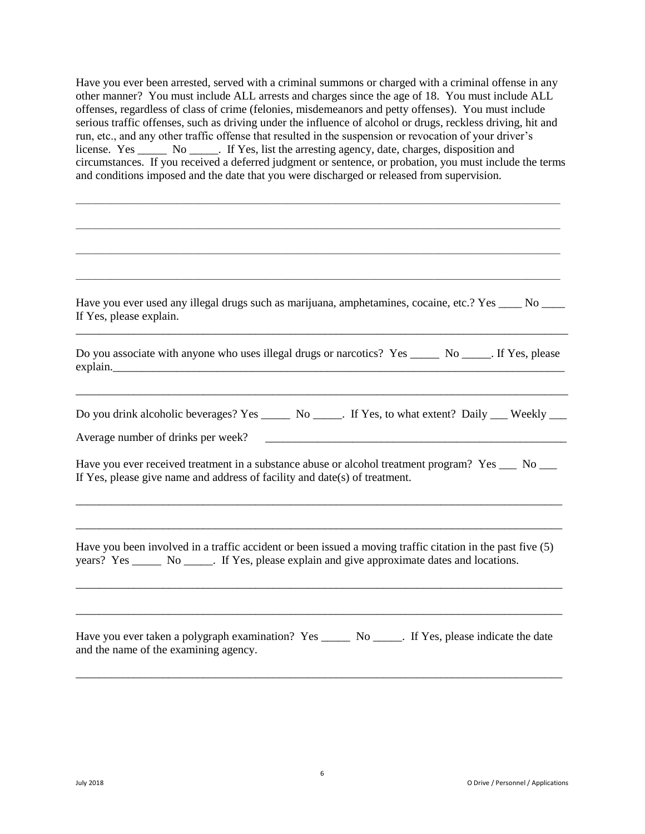Have you ever been arrested, served with a criminal summons or charged with a criminal offense in any other manner? You must include ALL arrests and charges since the age of 18. You must include ALL offenses, regardless of class of crime (felonies, misdemeanors and petty offenses). You must include serious traffic offenses, such as driving under the influence of alcohol or drugs, reckless driving, hit and run, etc., and any other traffic offense that resulted in the suspension or revocation of your driver's license. Yes \_\_\_\_\_\_ No \_\_\_\_\_. If Yes, list the arresting agency, date, charges, disposition and circumstances. If you received a deferred judgment or sentence, or probation, you must include the terms and conditions imposed and the date that you were discharged or released from supervision.

\_\_\_\_\_\_\_\_\_\_\_\_\_\_\_\_\_\_\_\_\_\_\_\_\_\_\_\_\_\_\_\_\_\_\_\_\_\_\_\_\_\_\_\_\_\_\_\_\_\_\_\_\_\_\_\_\_\_\_\_\_\_\_\_\_\_\_\_\_\_\_\_\_\_\_\_\_\_\_\_\_\_\_\_\_\_\_\_\_\_\_\_\_\_\_\_\_\_\_\_\_\_\_\_\_\_\_\_\_\_\_\_\_\_\_

| Have you ever used any illegal drugs such as marijuana, amphetamines, cocaine, etc.? Yes _____ No _____<br>If Yes, please explain.                                                                          |
|-------------------------------------------------------------------------------------------------------------------------------------------------------------------------------------------------------------|
| Do you associate with anyone who uses illegal drugs or narcotics? Yes _______ No _____. If Yes, please                                                                                                      |
| Do you drink alcoholic beverages? Yes ______ No _____. If Yes, to what extent? Daily ___ Weekly ___<br>Average number of drinks per week?                                                                   |
| Have you ever received treatment in a substance abuse or alcohol treatment program? Yes ___ No ___<br>If Yes, please give name and address of facility and date(s) of treatment.                            |
| Have you been involved in a traffic accident or been issued a moving traffic citation in the past five (5)<br>years? Yes ______ No ______. If Yes, please explain and give approximate dates and locations. |
| Have you ever taken a polygraph examination? Yes ______ No _____. If Yes, please indicate the date<br>and the name of the examining agency.                                                                 |

\_\_\_\_\_\_\_\_\_\_\_\_\_\_\_\_\_\_\_\_\_\_\_\_\_\_\_\_\_\_\_\_\_\_\_\_\_\_\_\_\_\_\_\_\_\_\_\_\_\_\_\_\_\_\_\_\_\_\_\_\_\_\_\_\_\_\_\_\_\_\_\_\_\_\_\_\_\_\_\_\_\_\_\_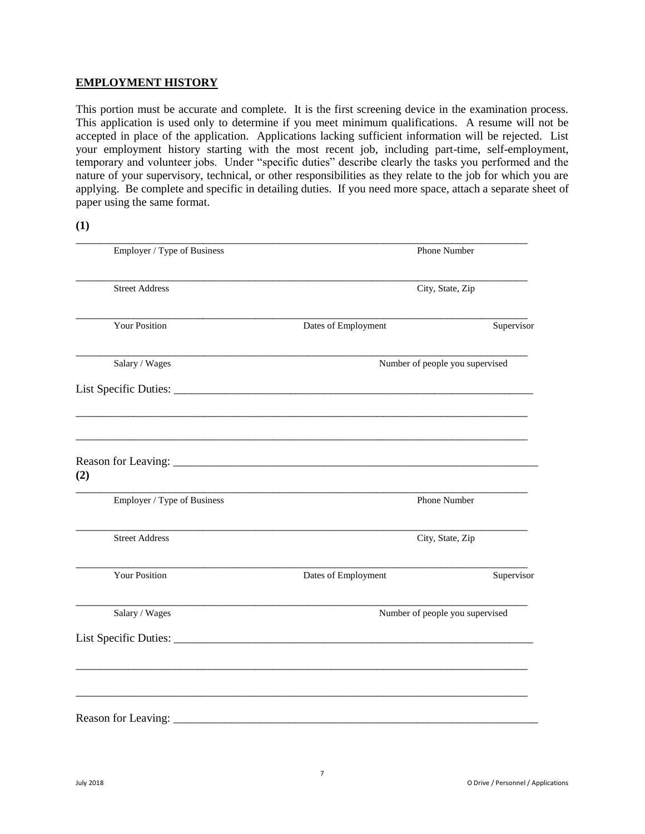#### **EMPLOYMENT HISTORY**

This portion must be accurate and complete. It is the first screening device in the examination process. This application is used only to determine if you meet minimum qualifications. A resume will not be accepted in place of the application. Applications lacking sufficient information will be rejected. List your employment history starting with the most recent job, including part-time, self-employment, temporary and volunteer jobs. Under "specific duties" describe clearly the tasks you performed and the nature of your supervisory, technical, or other responsibilities as they relate to the job for which you are applying. Be complete and specific in detailing duties. If you need more space, attach a separate sheet of paper using the same format.

**(1)**

| Employer / Type of Business | Phone Number                                                                                                          |                                 |  |  |  |
|-----------------------------|-----------------------------------------------------------------------------------------------------------------------|---------------------------------|--|--|--|
| <b>Street Address</b>       |                                                                                                                       | City, State, Zip                |  |  |  |
| <b>Your Position</b>        | Dates of Employment                                                                                                   | Supervisor                      |  |  |  |
| Salary / Wages              |                                                                                                                       | Number of people you supervised |  |  |  |
|                             |                                                                                                                       |                                 |  |  |  |
| (2)                         |                                                                                                                       |                                 |  |  |  |
| Employer / Type of Business |                                                                                                                       | Phone Number                    |  |  |  |
| <b>Street Address</b>       |                                                                                                                       | City, State, Zip                |  |  |  |
| <b>Your Position</b>        | Dates of Employment                                                                                                   | Supervisor                      |  |  |  |
| Salary / Wages              |                                                                                                                       | Number of people you supervised |  |  |  |
|                             |                                                                                                                       |                                 |  |  |  |
|                             |                                                                                                                       |                                 |  |  |  |
| Reason for Leaving:         | <u> 1980 - Jan Sterling von Berling von Berling von Berling von Berling von Berling von Berling von Berling von B</u> |                                 |  |  |  |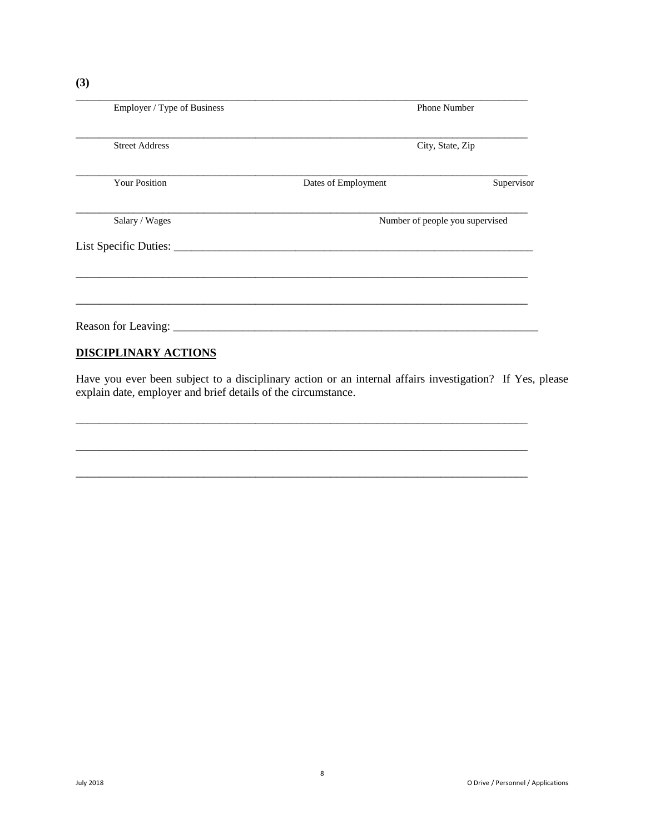| Employer / Type of Business | <b>Phone Number</b>             |            |  |  |  |
|-----------------------------|---------------------------------|------------|--|--|--|
| <b>Street Address</b>       | City, State, Zip                |            |  |  |  |
| Your Position               | Dates of Employment             | Supervisor |  |  |  |
| Salary / Wages              | Number of people you supervised |            |  |  |  |
|                             |                                 |            |  |  |  |
|                             |                                 |            |  |  |  |
|                             |                                 |            |  |  |  |
| <b>DISCIPLINARY ACTIONS</b> |                                 |            |  |  |  |

Have you ever been subject to a disciplinary action or an internal affairs investigation? If Yes, please explain date, employer and brief details of the circumstance.

\_\_\_\_\_\_\_\_\_\_\_\_\_\_\_\_\_\_\_\_\_\_\_\_\_\_\_\_\_\_\_\_\_\_\_\_\_\_\_\_\_\_\_\_\_\_\_\_\_\_\_\_\_\_\_\_\_\_\_\_\_\_\_\_\_\_\_\_\_\_\_\_\_\_\_\_\_\_

\_\_\_\_\_\_\_\_\_\_\_\_\_\_\_\_\_\_\_\_\_\_\_\_\_\_\_\_\_\_\_\_\_\_\_\_\_\_\_\_\_\_\_\_\_\_\_\_\_\_\_\_\_\_\_\_\_\_\_\_\_\_\_\_\_\_\_\_\_\_\_\_\_\_\_\_\_\_

\_\_\_\_\_\_\_\_\_\_\_\_\_\_\_\_\_\_\_\_\_\_\_\_\_\_\_\_\_\_\_\_\_\_\_\_\_\_\_\_\_\_\_\_\_\_\_\_\_\_\_\_\_\_\_\_\_\_\_\_\_\_\_\_\_\_\_\_\_\_\_\_\_\_\_\_\_\_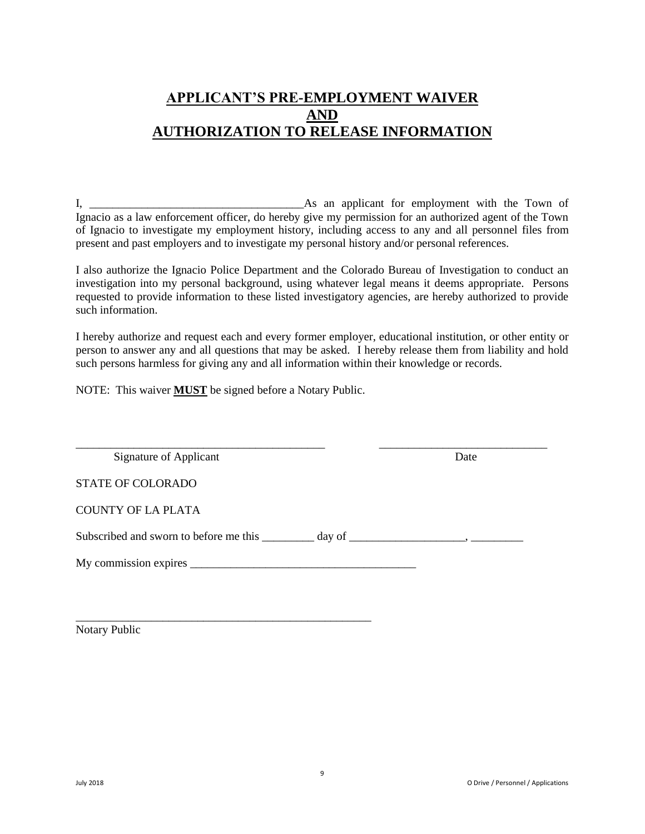# **APPLICANT'S PRE-EMPLOYMENT WAIVER AND AUTHORIZATION TO RELEASE INFORMATION**

I, \_\_\_\_\_\_\_\_\_\_\_\_\_\_\_\_\_\_\_\_\_\_\_\_\_\_\_\_\_\_\_\_\_\_\_\_\_As an applicant for employment with the Town of Ignacio as a law enforcement officer, do hereby give my permission for an authorized agent of the Town of Ignacio to investigate my employment history, including access to any and all personnel files from present and past employers and to investigate my personal history and/or personal references.

I also authorize the Ignacio Police Department and the Colorado Bureau of Investigation to conduct an investigation into my personal background, using whatever legal means it deems appropriate. Persons requested to provide information to these listed investigatory agencies, are hereby authorized to provide such information.

I hereby authorize and request each and every former employer, educational institution, or other entity or person to answer any and all questions that may be asked. I hereby release them from liability and hold such persons harmless for giving any and all information within their knowledge or records.

NOTE: This waiver **MUST** be signed before a Notary Public.

\_\_\_\_\_\_\_\_\_\_\_\_\_\_\_\_\_\_\_\_\_\_\_\_\_\_\_\_\_\_\_\_\_\_\_\_\_\_\_\_\_\_\_\_\_\_\_\_\_\_\_

| Signature of Applicant                                                            | Date |
|-----------------------------------------------------------------------------------|------|
| <b>STATE OF COLORADO</b>                                                          |      |
| <b>COUNTY OF LA PLATA</b>                                                         |      |
| Subscribed and sworn to before me this __________ day of _______________________, |      |
|                                                                                   |      |
|                                                                                   |      |

Notary Public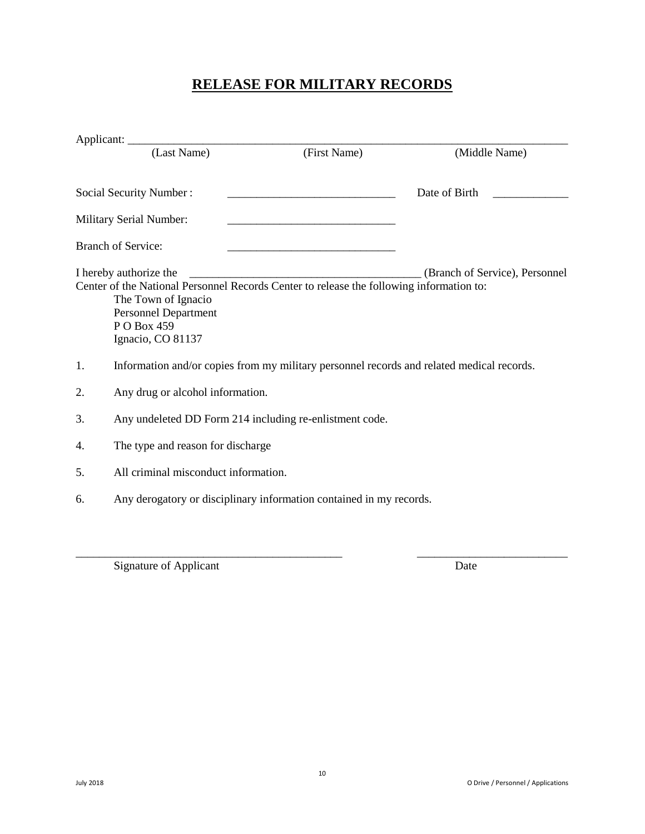# **RELEASE FOR MILITARY RECORDS**

|    | (Last Name)                                                                                                                                                                                           | (First Name)                                       | (Middle Name)                  |
|----|-------------------------------------------------------------------------------------------------------------------------------------------------------------------------------------------------------|----------------------------------------------------|--------------------------------|
|    | Social Security Number:                                                                                                                                                                               |                                                    | Date of Birth                  |
|    | <b>Military Serial Number:</b>                                                                                                                                                                        | <u> 1989 - John Stein, Amerikaansk politiker (</u> |                                |
|    | <b>Branch of Service:</b>                                                                                                                                                                             |                                                    |                                |
|    | I hereby authorize the<br>Center of the National Personnel Records Center to release the following information to:<br>The Town of Ignacio<br>Personnel Department<br>P O Box 459<br>Ignacio, CO 81137 |                                                    | (Branch of Service), Personnel |
| 1. | Information and/or copies from my military personnel records and related medical records.                                                                                                             |                                                    |                                |
| 2. | Any drug or alcohol information.                                                                                                                                                                      |                                                    |                                |
| 3. | Any undeleted DD Form 214 including re-enlistment code.                                                                                                                                               |                                                    |                                |
| 4. | The type and reason for discharge                                                                                                                                                                     |                                                    |                                |
| 5. | All criminal misconduct information.                                                                                                                                                                  |                                                    |                                |
| 6. | Any derogatory or disciplinary information contained in my records.                                                                                                                                   |                                                    |                                |
|    |                                                                                                                                                                                                       |                                                    |                                |

\_\_\_\_\_\_\_\_\_\_\_\_\_\_\_\_\_\_\_\_\_\_\_\_\_\_\_\_\_\_\_\_\_\_\_\_\_\_\_\_\_\_\_\_\_\_ \_\_\_\_\_\_\_\_\_\_\_\_\_\_\_\_\_\_\_\_\_\_\_\_\_\_

Signature of Applicant Date